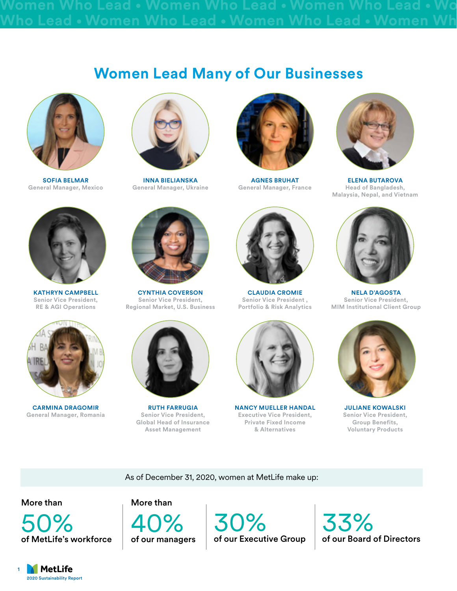## **Women Lead Many of Our Businesses**



**SOFIA BELMAR General Manager, Mexico**



**KATHRYN CAMPBELL Senior Vice President, RE & AGI Operations**



**CARMINA DRAGOMIR General Manager, Romania**



**INNA BIELIANSKA General Manager, Ukraine**



**CYNTHIA COVERSON Senior Vice President, Regional Market, U.S. Business**



**RUTH FARRUGIA Senior Vice President, Global Head of Insurance Asset Management**



**AGNES BRUHAT General Manager, France**



**CLAUDIA CROMIE Senior Vice President , Portfolio & Risk Analytics**



**NANCY MUELLER HANDAL Executive Vice President, Private Fixed Income & Alternatives**



**ELENA BUTAROVA Head of Bangladesh, Malaysia, Nepal, and Vietnam**



**NELA D'AGOSTA Senior Vice President, MIM Institutional Client Group**



**JULIANE KOWALSKI Senior Vice President, Group Benefits, Voluntary Products**

As of December 31, 2020, women at MetLife make up:

More than



More than

40% of our managers

30% of our Executive Group